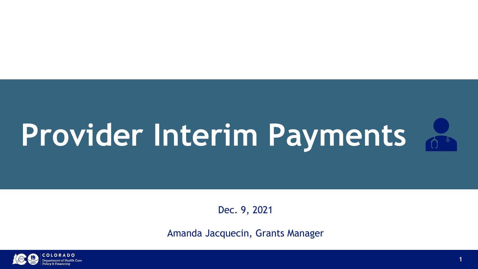# Provider Interim Payments

Dec. 9, 2021

Amanda Jacquecin, Grants Manager





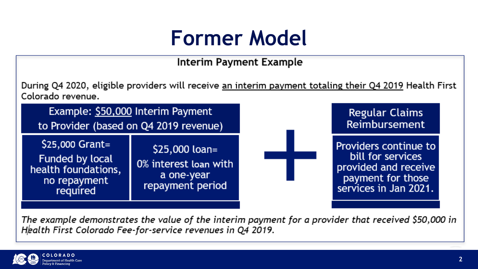### **Former Model**

### Interim Payment Example

During Q4 2020, eligible providers will receive <u>an interim payment totaling their Q4 2019</u> Health First Colorado revenue.

Example: \$50,000 Interim Payment to Provider (based on Q4 2019 revenue)

\$25,000 Grant= Funded by local health foundations, no repayment required

\$25,000 loan= 0% interest loan with a one-year repayment period

The example demonstrates the value of the interim payment for a provider that received \$50,000 in Health First Colorado Fee-for-service revenues in Q4 2019.



**Regular Claims** Reimbursement

Providers continue to bill for services provided and receive payment for those services in Jan 2021.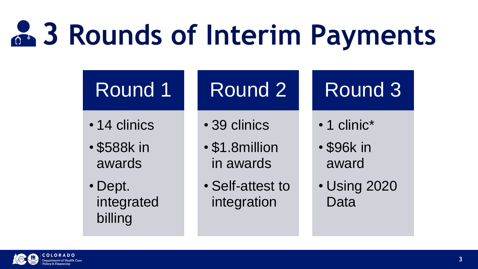# **3 Rounds of Interim Payments**

### Round 1

- 14 clinics
- \$588k in awards
- Dept. integrated billing

## Round 2

- 1 clinic<sup>\*</sup>
- \$96k in award
- Using 2020 Data
- 39 clinics
- \$1.8million in awards
- Self-attest to integration



### Round 3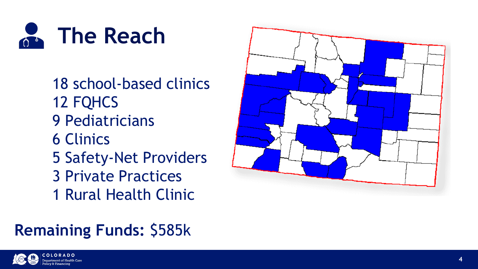

**4**

18 school-based clinics 12 FQHCS 9 Pediatricians 6 Clinics 5 Safety-Net Providers 3 Private Practices 1 Rural Health Clinic

### **Remaining Funds:** \$585k





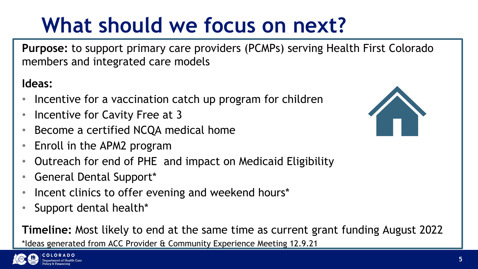## **What should we focus on next?**

**Purpose:** to support primary care providers (PCMPs) serving Health First Colorado members and integrated care models

### **Ideas:**

- Incentive for a vaccination catch up program for children
- Incentive for Cavity Free at 3
- Become a certified NCQA medical home
- Enroll in the APM2 program
- Outreach for end of PHE and impact on Medicaid Eligibility
- General Dental Support\*
- Incent clinics to offer evening and weekend hours\*
- Support dental health\*

**Timeline:** Most likely to end at the same time as current grant funding August 2022

\*Ideas generated from ACC Provider & Community Experience Meeting 12.9.21